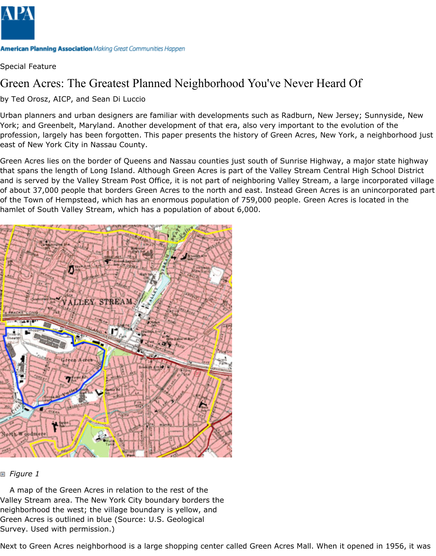

Special Feature

# Green Acres: The Greatest Planned Neighborhood You've Never Heard Of

by Ted Orosz, AICP, and Sean Di Luccio

Urban planners and urban designers are familiar with developments such as Radburn, New Jersey; Sunnyside, New York; and Greenbelt, Maryland. Another development of that era, also very important to the evolution of the profession, largely has been forgotten. This paper presents the history of Green Acres, New York, a neighborhood just east of New York City in Nassau County.

Green Acres lies on the border of Queens and Nassau counties just south of Sunrise Highway, a major state highway that spans the length of Long Island. Although Green Acres is part of the Valley Stream Central High School District and is served by the Valley Stream Post Office, it is not part of neighboring Valley Stream, a large incorporated village of about 37,000 people that borders Green Acres to the north and east. Instead Green Acres is an unincorporated part of the Town of Hempstead, which has an enormous population of 759,000 people. Green Acres is located in the hamlet of South Valley Stream, which has a population of about 6,000.



#### *Figure 1*

A map of the Green Acres in relation to the rest of the Valley Stream area. The New York City boundary borders the neighborhood the west; the village boundary is yellow, and Green Acres is outlined in blue (Source: U.S. Geological Survey. Used with permission.)

Next to Green Acres neighborhood is a large shopping center called Green Acres Mall. When it opened in 1956, it was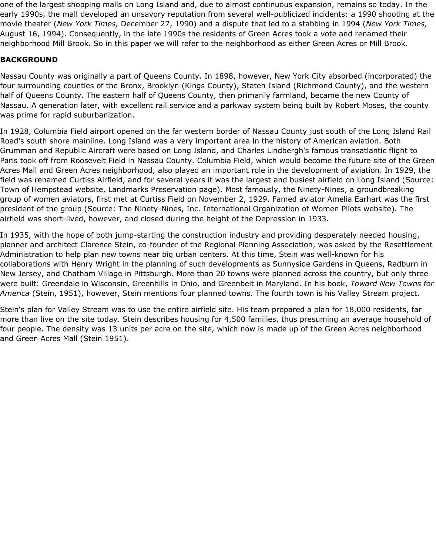one of the largest shopping malls on Long Island and, due to almost continuous expansion, remains so today. In the early 1990s, the mall developed an unsavory reputation from several well-publicized incidents: a 1990 shooting at the movie theater (*New York Times,* December 27, 1990) and a dispute that led to a stabbing in 1994 (*New York Times,* August 16, 1994). Consequently, in the late 1990s the residents of Green Acres took a vote and renamed their neighborhood Mill Brook. So in this paper we will refer to the neighborhood as either Green Acres or Mill Brook.

## **BACKGROUND**

Nassau County was originally a part of Queens County. In 1898, however, New York City absorbed (incorporated) the four surrounding counties of the Bronx, Brooklyn (Kings County), Staten Island (Richmond County), and the western half of Queens County. The eastern half of Queens County, then primarily farmland, became the new County of Nassau. A generation later, with excellent rail service and a parkway system being built by Robert Moses, the county was prime for rapid suburbanization.

In 1928, Columbia Field airport opened on the far western border of Nassau County just south of the Long Island Rail Road's south shore mainline. Long Island was a very important area in the history of American aviation. Both Grumman and Republic Aircraft were based on Long Island, and Charles Lindbergh's famous transatlantic flight to Paris took off from Roosevelt Field in Nassau County. Columbia Field, which would become the future site of the Green Acres Mall and Green Acres neighborhood, also played an important role in the development of aviation. In 1929, the field was renamed Curtiss Airfield, and for several years it was the largest and busiest airfield on Long Island (Source: Town of Hempstead website, Landmarks Preservation page). Most famously, the Ninety-Nines, a groundbreaking group of women aviators, first met at Curtiss Field on November 2, 1929. Famed aviator Amelia Earhart was the first president of the group (Source: The Ninety-Nines, Inc. International Organization of Women Pilots website). The airfield was short-lived, however, and closed during the height of the Depression in 1933.

In 1935, with the hope of both jump-starting the construction industry and providing desperately needed housing, planner and architect Clarence Stein, co-founder of the Regional Planning Association, was asked by the Resettlement Administration to help plan new towns near big urban centers. At this time, Stein was well-known for his collaborations with Henry Wright in the planning of such developments as Sunnyside Gardens in Queens, Radburn in New Jersey, and Chatham Village in Pittsburgh. More than 20 towns were planned across the country, but only three were built: Greendale in Wisconsin, Greenhills in Ohio, and Greenbelt in Maryland. In his book, *Toward New Towns for America* (Stein, 1951), however, Stein mentions four planned towns. The fourth town is his Valley Stream project.

Stein's plan for Valley Stream was to use the entire airfield site. His team prepared a plan for 18,000 residents, far more than live on the site today. Stein describes housing for 4,500 families, thus presuming an average household of four people. The density was 13 units per acre on the site, which now is made up of the Green Acres neighborhood and Green Acres Mall (Stein 1951).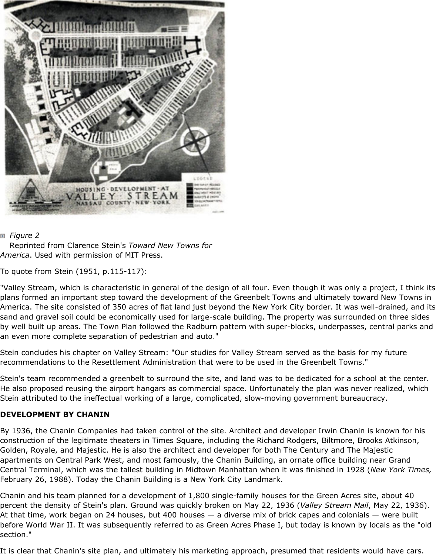

## *Figure 2*

Reprinted from Clarence Stein's *Toward New Towns for America*. Used with permission of MIT Press.

To quote from Stein (1951, p.115-117):

"Valley Stream, which is characteristic in general of the design of all four. Even though it was only a project, I think its plans formed an important step toward the development of the Greenbelt Towns and ultimately toward New Towns in America. The site consisted of 350 acres of flat land just beyond the New York City border. It was well-drained, and its sand and gravel soil could be economically used for large-scale building. The property was surrounded on three sides by well built up areas. The Town Plan followed the Radburn pattern with super-blocks, underpasses, central parks and an even more complete separation of pedestrian and auto."

Stein concludes his chapter on Valley Stream: "Our studies for Valley Stream served as the basis for my future recommendations to the Resettlement Administration that were to be used in the Greenbelt Towns."

Stein's team recommended a greenbelt to surround the site, and land was to be dedicated for a school at the center. He also proposed reusing the airport hangars as commercial space. Unfortunately the plan was never realized, which Stein attributed to the ineffectual working of a large, complicated, slow-moving government bureaucracy.

## **DEVELOPMENT BY CHANIN**

By 1936, the Chanin Companies had taken control of the site. Architect and developer Irwin Chanin is known for his construction of the legitimate theaters in Times Square, including the Richard Rodgers, Biltmore, Brooks Atkinson, Golden, Royale, and Majestic. He is also the architect and developer for both The Century and The Majestic apartments on Central Park West, and most famously, the Chanin Building, an ornate office building near Grand Central Terminal, which was the tallest building in Midtown Manhattan when it was finished in 1928 (*New York Times,* February 26, 1988). Today the Chanin Building is a New York City Landmark.

Chanin and his team planned for a development of 1,800 single-family houses for the Green Acres site, about 40 percent the density of Stein's plan. Ground was quickly broken on May 22, 1936 (*Valley Stream Mail*, May 22, 1936). At that time, work began on 24 houses, but 400 houses — a diverse mix of brick capes and colonials — were built before World War II. It was subsequently referred to as Green Acres Phase I, but today is known by locals as the "old section."

It is clear that Chanin's site plan, and ultimately his marketing approach, presumed that residents would have cars.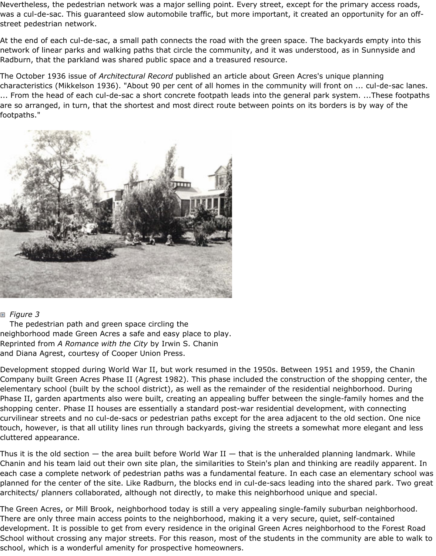Nevertheless, the pedestrian network was a major selling point. Every street, except for the primary access roads, was a cul-de-sac. This guaranteed slow automobile traffic, but more important, it created an opportunity for an offstreet pedestrian network.

At the end of each cul-de-sac, a small path connects the road with the green space. The backyards empty into this network of linear parks and walking paths that circle the community, and it was understood, as in Sunnyside and Radburn, that the parkland was shared public space and a treasured resource.

The October 1936 issue of *Architectural Record* published an article about Green Acres's unique planning characteristics (Mikkelson 1936). "About 90 per cent of all homes in the community will front on ... cul-de-sac lanes. ... From the head of each cul-de-sac a short concrete footpath leads into the general park system. ...These footpaths are so arranged, in turn, that the shortest and most direct route between points on its borders is by way of the footpaths."



#### *Figure 3*

The pedestrian path and green space circling the neighborhood made Green Acres a safe and easy place to play. Reprinted from *A Romance with the City* by Irwin S. Chanin and Diana Agrest, courtesy of Cooper Union Press.

Development stopped during World War II, but work resumed in the 1950s. Between 1951 and 1959, the Chanin Company built Green Acres Phase II (Agrest 1982). This phase included the construction of the shopping center, the elementary school (built by the school district), as well as the remainder of the residential neighborhood. During Phase II, garden apartments also were built, creating an appealing buffer between the single-family homes and the shopping center. Phase II houses are essentially a standard post-war residential development, with connecting curvilinear streets and no cul-de-sacs or pedestrian paths except for the area adjacent to the old section. One nice touch, however, is that all utility lines run through backyards, giving the streets a somewhat more elegant and less cluttered appearance.

Thus it is the old section  $-$  the area built before World War II  $-$  that is the unheralded planning landmark. While Chanin and his team laid out their own site plan, the similarities to Stein's plan and thinking are readily apparent. In each case a complete network of pedestrian paths was a fundamental feature. In each case an elementary school was planned for the center of the site. Like Radburn, the blocks end in cul-de-sacs leading into the shared park. Two great architects/ planners collaborated, although not directly, to make this neighborhood unique and special.

The Green Acres, or Mill Brook, neighborhood today is still a very appealing single-family suburban neighborhood. There are only three main access points to the neighborhood, making it a very secure, quiet, self-contained development. It is possible to get from every residence in the original Green Acres neighborhood to the Forest Road School without crossing any major streets. For this reason, most of the students in the community are able to walk to school, which is a wonderful amenity for prospective homeowners.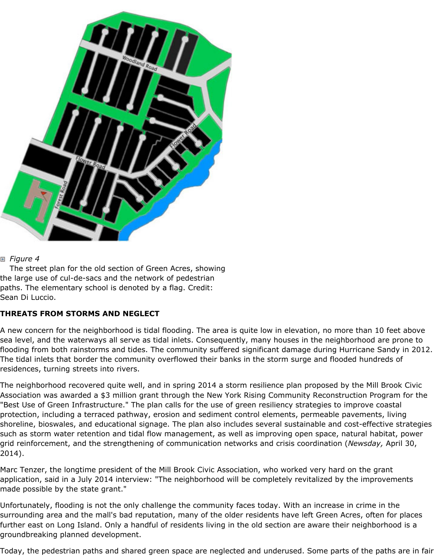

### *Figure 4*

The street plan for the old section of Green Acres, showing the large use of cul-de-sacs and the network of pedestrian paths. The elementary school is denoted by a flag. Credit: Sean Di Luccio.

## **THREATS FROM STORMS AND NEGLECT**

A new concern for the neighborhood is tidal flooding. The area is quite low in elevation, no more than 10 feet above sea level, and the waterways all serve as tidal inlets. Consequently, many houses in the neighborhood are prone to flooding from both rainstorms and tides. The community suffered significant damage during Hurricane Sandy in 2012. The tidal inlets that border the community overflowed their banks in the storm surge and flooded hundreds of residences, turning streets into rivers.

The neighborhood recovered quite well, and in spring 2014 a storm resilience plan proposed by the Mill Brook Civic Association was awarded a \$3 million grant through the New York Rising Community Reconstruction Program for the "Best Use of Green Infrastructure." The plan calls for the use of green resiliency strategies to improve coastal protection, including a terraced pathway, erosion and sediment control elements, permeable pavements, living shoreline, bioswales, and educational signage. The plan also includes several sustainable and cost-effective strategies such as storm water retention and tidal flow management, as well as improving open space, natural habitat, power grid reinforcement, and the strengthening of communication networks and crisis coordination (*Newsday,* April 30, 2014).

Marc Tenzer, the longtime president of the Mill Brook Civic Association, who worked very hard on the grant application, said in a July 2014 interview: "The neighborhood will be completely revitalized by the improvements made possible by the state grant."

Unfortunately, flooding is not the only challenge the community faces today. With an increase in crime in the surrounding area and the mall's bad reputation, many of the older residents have left Green Acres, often for places further east on Long Island. Only a handful of residents living in the old section are aware their neighborhood is a groundbreaking planned development.

Today, the pedestrian paths and shared green space are neglected and underused. Some parts of the paths are in fair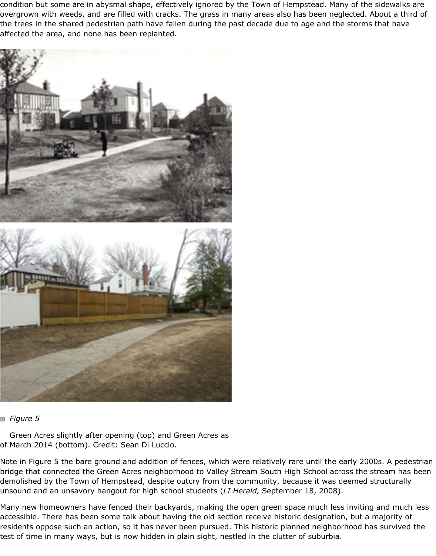condition but some are in abysmal shape, effectively ignored by the Town of Hempstead. Many of the sidewalks are overgrown with weeds, and are filled with cracks. The grass in many areas also has been neglected. About a third of the trees in the shared pedestrian path have fallen during the past decade due to age and the storms that have affected the area, and none has been replanted.





#### *Figure 5*

Green Acres slightly after opening (top) and Green Acres as of March 2014 (bottom). Credit: Sean Di Luccio.

Note in Figure 5 the bare ground and addition of fences, which were relatively rare until the early 2000s. A pedestrian bridge that connected the Green Acres neighborhood to Valley Stream South High School across the stream has been demolished by the Town of Hempstead, despite outcry from the community, because it was deemed structurally unsound and an unsavory hangout for high school students (*LI Herald,* September 18, 2008).

Many new homeowners have fenced their backyards, making the open green space much less inviting and much less accessible. There has been some talk about having the old section receive historic designation, but a majority of residents oppose such an action, so it has never been pursued. This historic planned neighborhood has survived the test of time in many ways, but is now hidden in plain sight, nestled in the clutter of suburbia.